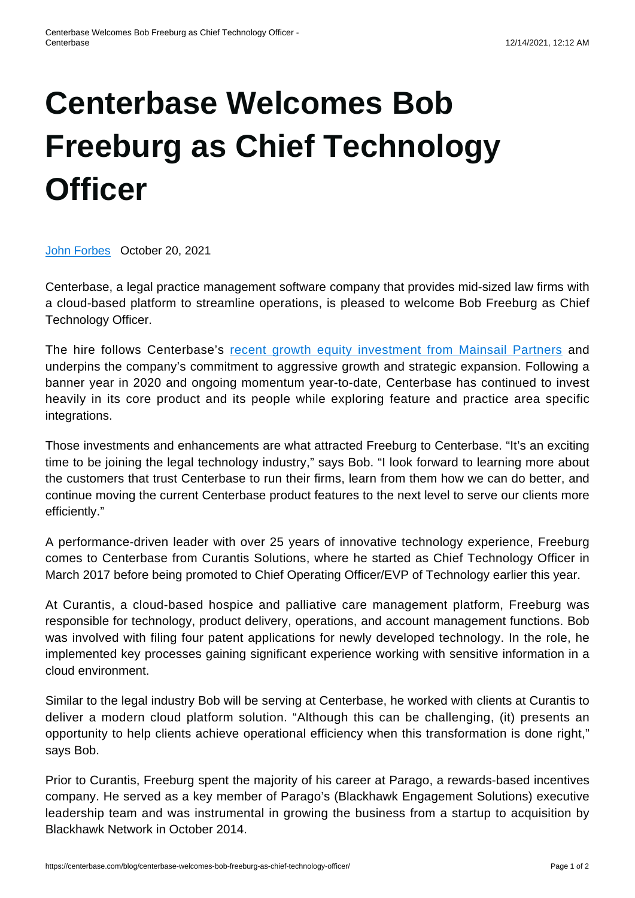## **[Centerbase Welcomes Bob](https://centerbase.com/blog/centerbase-welcomes-bob-freeburg-as-chief-technology-officer/) [Freeburg as Chief Technology](https://centerbase.com/blog/centerbase-welcomes-bob-freeburg-as-chief-technology-officer/) [Officer](https://centerbase.com/blog/centerbase-welcomes-bob-freeburg-as-chief-technology-officer/)**

[John Forbes](https://centerbase.com/blog/author/alexanderlawokgmail-com/) October 20, 2021

Centerbase, a legal practice management software company that provides mid-sized law firms with a cloud-based platform to streamline operations, is pleased to welcome Bob Freeburg as Chief Technology Officer.

The hire follows Centerbase's [recent growth equity investment from Mainsail Partners](https://centerbase.com/blog/when-the-timing-is-right-our-decision-to-team-up-with-mainsail-partners/) and underpins the company's commitment to aggressive growth and strategic expansion. Following a banner year in 2020 and ongoing momentum year-to-date, Centerbase has continued to invest heavily in its core product and its people while exploring feature and practice area specific integrations.

Those investments and enhancements are what attracted Freeburg to Centerbase. "It's an exciting time to be joining the legal technology industry," says Bob. "I look forward to learning more about the customers that trust Centerbase to run their firms, learn from them how we can do better, and continue moving the current Centerbase product features to the next level to serve our clients more efficiently."

A performance-driven leader with over 25 years of innovative technology experience, Freeburg comes to Centerbase from Curantis Solutions, where he started as Chief Technology Officer in March 2017 before being promoted to Chief Operating Officer/EVP of Technology earlier this year.

At Curantis, a cloud-based hospice and palliative care management platform, Freeburg was responsible for technology, product delivery, operations, and account management functions. Bob was involved with filing four patent applications for newly developed technology. In the role, he implemented key processes gaining significant experience working with sensitive information in a cloud environment.

Similar to the legal industry Bob will be serving at Centerbase, he worked with clients at Curantis to deliver a modern cloud platform solution. "Although this can be challenging, (it) presents an opportunity to help clients achieve operational efficiency when this transformation is done right," says Bob.

Prior to Curantis, Freeburg spent the majority of his career at Parago, a rewards-based incentives company. He served as a key member of Parago's (Blackhawk Engagement Solutions) executive leadership team and was instrumental in growing the business from a startup to acquisition by Blackhawk Network in October 2014.